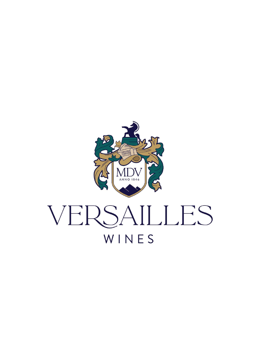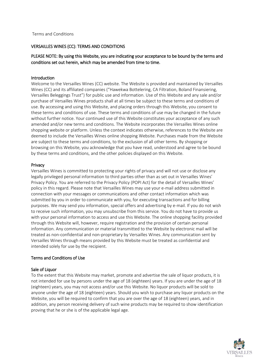## VERSAILLES WINES (CC): TERMS AND CONDITIONS

# PLEASE NOTE: By using this Website, you are indicating your acceptance to be bound by the terms and conditions set out herein, which may be amended from time to time.

## Introduction

Welcome to the Versailles Wines (CC) website. The Website is provided and maintained by Versailles Wines (CC) and its affiliated companies ("Hawekwa Bottelering, CA Filtration, Boland Finansiering, Versailles Beleggings Trust") for public use and information. Use of this Website and any sale and/or purchase of Versailles Wines products shall at all times be subject to these terms and conditions of use. By accessing and using this Website, and placing orders through this Website, you consent to these terms and conditions of use. These terms and conditions of use may be changed in the future without further notice. Your continued use of this Website constitutes your acceptance of any such amended and/or new terms and conditions. The Website incorporates the Versailles Wines online shopping website or platform. Unless the context indicates otherwise, references to the Website are deemed to include the Versailles Wines online shopping Website. Purchases made from the Website are subject to these terms and conditions, to the exclusion of all other terms. By shopping or browsing on this Website, you acknowledge that you have read, understood and agree to be bound by these terms and conditions, and the other policies displayed on this Website.

## Privacy

Versailles Wines is committed to protecting your rights of privacy and will not use or disclose any legally privileged personal information to third parties other than as set out in Versailles Wines' Privacy Policy. You are referred to the Privacy Policy (POPI Act) for the detail of Versailles Wines' policy in this regard. Please note that Versailles Wines may use your e-mail address submitted in connection with your messages or communications and other contact information which was submitted by you in order to communicate with you, for executing transactions and for billing purposes. We may send you information, special offers and advertising by e-mail. If you do not wish to receive such information, you may unsubscribe from this service. You do not have to provide us with your personal information to access and use this Website. The online shopping facility provided through this Website will, however, require registration and the provision of certain personal information. Any communication or material transmitted to the Website by electronic mail will be treated as non-confidential and non-proprietary by Versailles Wines. Any communication sent by Versailles Wines through means provided by this Website must be treated as confidential and intended solely for use by the recipient.

# Terms and Conditions of Use

### Sale of Liquor

To the extent that this Website may market, promote and advertise the sale of liquor products, it is not intended for use by persons under the age of 18 (eighteen) years. If you are under the age of 18 (eighteen) years, you may not access and/or use this Website. No liquor products will be sold to anyone under the age of 18 (eighteen) years. Should you wish to purchase any liquor products on the Website, you will be required to confirm that you are over the age of 18 (eighteen) years, and in addition, any person receiving delivery of such wine products may be required to show identification proving that he or she is of the applicable legal age.

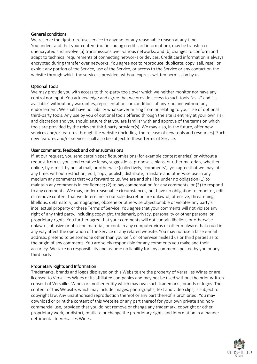## General conditions

We reserve the right to refuse service to anyone for any reasonable reason at any time. You understand that your content (not including credit card information), may be transferred unencrypted and involve (a) transmissions over various networks; and (b) changes to conform and adapt to technical requirements of connecting networks or devices. Credit card information is always encrypted during transfer over networks. You agree not to reproduce, duplicate, copy, sell, resell or exploit any portion of the Service, use of the Service, or access to the Service or any contact on the website through which the service is provided, without express written permission by us.

# Optional Tools

We may provide you with access to third-party tools over which we neither monitor nor have any control nor input. You acknowledge and agree that we provide access to such tools "as is" and "as available" without any warranties, representations or conditions of any kind and without any endorsement. We shall have no liability whatsoever arising from or relating to your use of optional third-party tools. Any use by you of optional tools offered through the site is entirely at your own risk and discretion and you should ensure that you are familiar with and approve of the terms on which tools are provided by the relevant third-party provider(s). We may also, in the future, offer new services and/or features through the website (including, the release of new tools and resources). Such new features and/or services shall also be subject to these Terms of Service.

# User comments, feedback and other submissions

If, at our request, you send certain specific submissions (for example contest entries) or without a request from us you send creative ideas, suggestions, proposals, plans, or other materials, whether online, by e-mail, by postal mail, or otherwise (collectively, 'comments'), you agree that we may, at any time, without restriction, edit, copy, publish, distribute, translate and otherwise use in any medium any comments that you forward to us. We are and shall be under no obligation (1) to maintain any comments in confidence; (2) to pay compensation for any comments; or (3) to respond to any comments. We may, under reasonable circumstances, but have no obligation to, monitor, edit or remove content that we determine in our sole discretion are unlawful, offensive, threatening, libellous, defamatory, pornographic, obscene or otherwise objectionable or violates any party's intellectual property or these Terms of Service. You agree that your comments will not violate any right of any third party, including copyright, trademark, privacy, personality or other personal or proprietary rights. You further agree that your comments will not contain libellous or otherwise unlawful, abusive or obscene material, or contain any computer virus or other malware that could in any way affect the operation of the Service or any related website. You may not use a false e-mail address, pretend to be someone other than yourself, or otherwise mislead us or third parties as to the origin of any comments. You are solely responsible for any comments you make and their accuracy. We take no responsibility and assume no liability for any comments posted by you or any third party.

# Proprietary Rights and Information

Trademarks, brands and logos displayed on this Website are the property of Versailles Wines or are licensed to Versailles Wines or its affiliated companies and may not be used without the prior written consent of Versailles Wines or another entity which may own such trademarks, brands or logos. The content of this Website, which may include images, photographs, text and video clips, is subject to copyright law. Any unauthorised reproduction thereof or any part thereof is prohibited. You may download or print the content of this Website or any part thereof for your own private and noncommercial use, provided that you do not remove or change any trademark, copyright or other proprietary work, or distort, mutilate or change the proprietary rights and information in a manner detrimental to Versailles Wines.

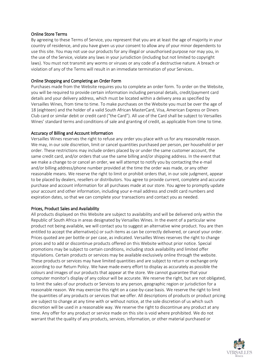## Online Store Terms

By agreeing to these Terms of Service, you represent that you are at least the age of majority in your country of residence, and you have given us your consent to allow any of your minor dependents to use this site. You may not use our products for any illegal or unauthorised purpose nor may you, in the use of the Service, violate any laws in your jurisdiction (including but not limited to copyright laws). You must not transmit any worms or viruses or any code of a destructive nature. A breach or violation of any of the Terms will result in an immediate termination of your Services.

# Online Shopping and Completing an Order Form

Purchases made from the Website requires you to complete an order form. To order on the Website, you will be required to provide certain information including personal details, credit/payment card details and your delivery address, which must be located within a delivery area as specified by Versailles Wines, from time to time. To make purchases on the Website you must be over the age of 18 (eighteen) and the holder of a valid South African MasterCard, Visa, American Express or Diners Club card or similar debit or credit card ("the Card"). All use of the Card shall be subject to Versailles Wines' standard terms and conditions of sale and granting of credit, as applicable from time to time.

# Accuracy of Billing and Account Information

Versailles Wines reserves the right to refuse any order you place with us for any reasonable reason. We may, in our sole discretion, limit or cancel quantities purchased per person, per household or per order. These restrictions may include orders placed by or under the same customer account, the same credit card, and/or orders that use the same billing and/or shipping address. In the event that we make a change to or cancel an order, we will attempt to notify you by contacting the e-mail and/or billing address/phone number provided at the time the order was made, or any other reasonable means. We reserve the right to limit or prohibit orders that, in our sole judgment, appear to be placed by dealers, resellers or distributors. You agree to provide current, complete and accurate purchase and account information for all purchases made at our store. You agree to promptly update your account and other information, including your e-mail address and credit card numbers and expiration dates, so that we can complete your transactions and contact you as needed.

# Prices, Product Sales and Availability

All products displayed on this Website are subject to availability and will be delivered only within the Republic of South Africa in areas designated by Versailles Wines. In the event of a particular wine product not being available, we will contact you to suggest an alternative wine product. You are then entitled to accept the alternative(s) or such items as can be correctly delivered, or cancel your order. Prices quoted are per bottle or per case, as indicated. Versailles Wines reserves the right to change prices and to add or discontinue products offered on this Website without prior notice. Special promotions may be subject to certain conditions, including stock availability and limited offer stipulations. Certain products or services may be available exclusively online through the website. These products or services may have limited quantities and are subject to return or exchange only according to our Return Policy. We have made every effort to display as accurately as possible the colours and images of our products that appear at the store. We cannot guarantee that your computer monitor's display of any colour will be accurate. We reserve the right, but are not obligated, to limit the sales of our products or Services to any person, geographic region or jurisdiction for a reasonable reason. We may exercise this right on a case-by-case basis. We reserve the right to limit the quantities of any products or services that we offer. All descriptions of products or product pricing are subject to change at any time with or without notice, at the sole discretion of us which such discretion will be used in a reasonable way. We reserve the right to discontinue any product at any time. Any offer for any product or service made on this site is void where prohibited. We do not warrant that the quality of any products, services, information, or other material purchased or

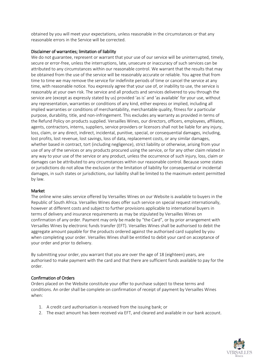obtained by you will meet your expectations, unless reasonable in the circumstances or that any reasonable errors in the Service will be corrected.

## Disclaimer of warranties; limitation of liability

We do not guarantee, represent or warrant that your use of our service will be uninterrupted, timely, secure or error-free, unless the interruptions, late, unsecure or inaccuracy of such services can be attributed to any circumstances within our reasonable control. We warrant that the results that may be obtained from the use of the service will be reasonably accurate or reliable. You agree that from time to time we may remove the service for indefinite periods of time or cancel the service at any time, with reasonable notice. You expressly agree that your use of, or inability to use, the service is reasonably at your own risk. The service and all products and services delivered to you through the service are (except as expressly stated by us) provided 'as is' and 'as available' for your use, without any representation, warranties or conditions of any kind, either express or implied, including all implied warranties or conditions of merchantability, merchantable quality, fitness for a particular purpose, durability, title, and non-infringement. This excludes any warranty as provided in terms of the Refund Policy on products supplied. Versailles Wines, our directors, officers, employees, affiliates, agents, contractors, interns, suppliers, service providers or licensors shall not be liable for any injury, loss, claim, or any direct, indirect, incidental, punitive, special, or consequential damages, including, lost profits, lost revenue, lost savings, loss of data, replacement costs, or any similar damages, whether based in contract, tort (including negligence), strict liability or otherwise, arising from your use of any of the services or any products procured using the service, or for any other claim related in any way to your use of the service or any product, unless the occurrence of such injury, loss, claim or damages can be attributed to any circumstances within our reasonable control. Because some states or jurisdictions do not allow the exclusion or the limitation of liability for consequential or incidental damages, in such states or jurisdictions, our liability shall be limited to the maximum extent permitted by law.

### Market

The online wine sales service offered by Versailles Wines on our Website is available to buyers in the Republic of South Africa. Versailles Wines does offer such service on special request internationally, however at different costs and subject to further provisions applicable to international buyers in terms of delivery and insurance requirements as may be stipulated by Versailles Wines on confirmation of any order. Payment may only be made by "the Card", or by prior arrangement with Versailles Wines by electronic funds transfer (EFT). Versailles Wines shall be authorised to debit the aggregate amount payable for the products ordered against the authorised card supplied by you when completing your order. Versailles Wines shall be entitled to debit your card on acceptance of your order and prior to delivery.

By submitting your order, you warrant that you are over the age of 18 (eighteen) years, are authorised to make payment with the card and that there are sufficient funds available to pay for the order.

### Confirmation of Orders

Orders placed on the Website constitute your offer to purchase subject to these terms and conditions. An order shall be complete on confirmation of receipt of payment by Versailles Wines when:

- 1. A credit card authorisation is received from the issuing bank; or
- 2. The exact amount has been received via EFT, and cleared and available in our bank account.

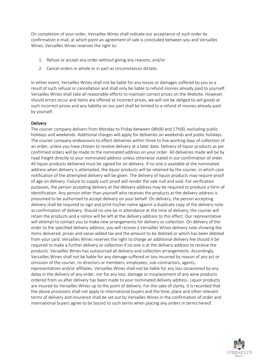On completion of your order, Versailles Wines shall indicate our acceptance of such order by confirmation e-mail, at which point an agreement of sale is concluded between you and Versailles Wines. Versailles Wines reserves the right to:

- 1. Refuse or accept any order without giving any reasons; and/or
- 2. Cancel orders in whole or in part as circumstances dictate.

In either event, Versailles Wines shall not be liable for any losses or damages suffered by you as a result of such refusal or cancellation and shall only be liable to refund monies already paid to yourself. Versailles Wines shall take all reasonable efforts to maintain correct prices on the Website. However, should errors occur and items are offered at incorrect prices, we will not be obliged to sell goods at such incorrect prices and any liability on our part shall be limited to a refund of monies already paid by yourself.

## **Delivery**

The courier company delivers from Monday to Friday between 08h00 and 17h00, excluding public holidays and weekends. Additional charges will apply for deliveries on weekends and public holidays. The courier company endeavours to effect deliveries within three to five working days of collection of an order, unless you have chosen to receive delivery at a later date. Delivery of liquor products as per confirmed orders will be made to the nominated address on your order. All deliveries made will be by road freight directly to your nominated address unless otherwise stated in our confirmation of order. All liquor products delivered must be signed for on delivery. If no one is available at the nominated address when delivery is attempted, the liquor products will be retained by the courier, in which case notification of the attempted delivery will be given. The delivery of liquor products may require proof of age on delivery. Failure to supply such proof will render the sale null and void. For verification purposes, the person accepting delivery at the delivery address may be required to produce a form of identification. Any person other than yourself who receives the products at the delivery address is presumed to be authorised to accept delivery on your behalf. On delivery, the person accepting delivery shall be required to sign and print his/her name against a duplicate copy of the delivery note as confirmation of delivery. Should no one be in attendance at the time of delivery, the courier will retain the products and a notice will be left at the delivery address to this effect. Our representative will attempt to contact you to make new arrangements for delivery or collection. On delivery of the order to the specified delivery address, you will receive a Versailles Wines delivery note showing the items delivered, prices and value-added tax and the amount to be debited or which has been debited from your card. Versailles Wines reserves the right to charge an additional delivery fee should it be required to make a further delivery or collection if no one is at the delivery address to receive the products. Versailles Wines has outsourced all delivery and collection arrangements. Accordingly, Versailles Wines shall not be liable for any damage suffered or loss incurred by reason of any act or omission of the courier, its directors or members, employees, sub-contractors, agents, representatives and/or affiliates. Versailles Wines shall not be liable for any loss occasioned by any delay in the delivery of any order, nor for any loss, damage or misplacement of any wine products ordered from us after delivery has been made to your nominated delivery address. Liquor products are insured by Versailles Wines up to the point of delivery. For the sake of clarity, it is recorded that the above provisions shall not apply to international buyers and the time, place and other relevant terms of delivery and insurance shall be set out by Versailles Wines in the confirmation of order and international buyers agree to be bound to such terms when placing any orders in terms hereof.

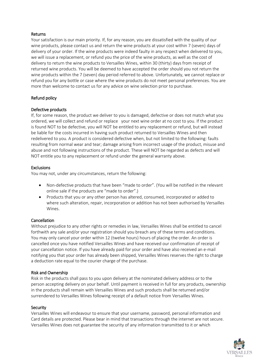## Returns

Your satisfaction is our main priority. If, for any reason, you are dissatisfied with the quality of our wine products, please contact us and return the wine products at your cost within 7 (seven) days of delivery of your order. If the wine products were indeed faulty in any respect when delivered to you, we will issue a replacement, or refund you the price of the wine products, as well as the cost of delivery to return the wine products to Versailles Wines, within 30 (thirty) days from receipt of returned wine products. You will be deemed to have accepted the order should you not return the wine products within the 7 (seven) day period referred to above. Unfortunately, we cannot replace or refund you for any bottle or case where the wine products do not meet personal preferences. You are more than welcome to contact us for any advice on wine selection prior to purchase.

# Refund policy

## Defective products

If, for some reason, the product we deliver to you is damaged, defective or does not match what you ordered, we will collect and refund or replace your next wine order at no cost to you. If the product is found NOT to be defective, you will NOT be entitled to any replacement or refund, but will instead be liable for the costs incurred in having such product returned to Versailles Wines and then redelivered to you. A product is considered defective when, but not limited to the following: faults resulting from normal wear and tear; damage arising from incorrect usage of the product, misuse and abuse and not following instructions of the product. These will NOT be regarded as defects and will NOT entitle you to any replacement or refund under the general warranty above.

## Exclusions

You may not, under any circumstances, return the following:

- Non-defective products that have been "made to order". (You will be notified in the relevant online sale if the products are "made to order".)
- Products that you or any other person has altered, consumed, incorporated or added to where such alteration, repair, incorporation or addition has not been authorised by Versailles Wines.

# **Cancellation**

Without prejudice to any other rights or remedies in law, Versailles Wines shall be entitled to cancel forthwith any sale and/or your registration should you breach any of these terms and conditions. You may only cancel your order within 12 (twelve hours) hours of placing the order. An order is cancelled once you have notified Versailles Wines and have received our confirmation of receipt of your cancellation notice. If you have already paid for your order and have also received an e-mail notifying you that your order has already been shipped, Versailles Wines reserves the right to charge a deduction rate equal to the courier charge of the purchase.

### Risk and Ownership

Risk in the products shall pass to you upon delivery at the nominated delivery address or to the person accepting delivery on your behalf. Until payment is received in full for any products, ownership in the products shall remain with Versailles Wines and such products shall be returned and/or surrendered to Versailles Wines following receipt of a default notice from Versailles Wines.

### **Security**

Versailles Wines will endeavour to ensure that your username, password, personal information and Card details are protected. Please bear in mind that transactions through the internet are not secure. Versailles Wines does not guarantee the security of any information transmitted to it or which

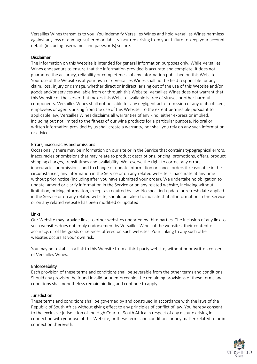Versailles Wines transmits to you. You indemnify Versailles Wines and hold Versailles Wines harmless against any loss or damage suffered or liability incurred arising from your failure to keep your account details (including usernames and passwords) secure.

### Disclaimer

The information on this Website is intended for general information purposes only. While Versailles Wines endeavours to ensure that the information provided is accurate and complete, it does not guarantee the accuracy, reliability or completeness of any information published on this Website. Your use of the Website is at your own risk. Versailles Wines shall not be held responsible for any claim, loss, injury or damage, whether direct or indirect, arising out of the use of this Website and/or goods and/or services available from or through this Website. Versailles Wines does not warrant that this Website or the server that makes this Website available is free of viruses or other harmful components. Versailles Wines shall not be liable for any negligent act or omission of any of its officers, employees or agents arising from the use of this Website. To the extent permissible pursuant to applicable law, Versailles Wines disclaims all warranties of any kind, either express or implied, including but not limited to the fitness of our wine products for a particular purpose. No oral or written information provided by us shall create a warranty, nor shall you rely on any such information or advice.

## Errors, inaccuracies and omissions

Occasionally there may be information on our site or in the Service that contains typographical errors, inaccuracies or omissions that may relate to product descriptions, pricing, promotions, offers, product shipping charges, transit times and availability. We reserve the right to correct any errors, inaccuracies or omissions, and to change or update information or cancel orders if reasonable in the circumstances, any information in the Service or on any related website is inaccurate at any time without prior notice (including after you have submitted your order). We undertake no obligation to update, amend or clarify information in the Service or on any related website, including without limitation, pricing information, except as required by law. No specified update or refresh date applied in the Service or on any related website, should be taken to indicate that all information in the Service or on any related website has been modified or updated.

### Links

Our Website may provide links to other websites operated by third parties. The inclusion of any link to such websites does not imply endorsement by Versailles Wines of the websites, their content or accuracy, or of the goods or services offered on such websites. Your linking to any such other websites occurs at your own risk.

You may not establish a link to this Website from a third-party website, without prior written consent of Versailles Wines.

### Enforceability

Each provision of these terms and conditions shall be severable from the other terms and conditions. Should any provision be found invalid or unenforceable, the remaining provisions of these terms and conditions shall nonetheless remain binding and continue to apply.

### Jurisdiction

These terms and conditions shall be governed by and construed in accordance with the laws of the Republic of South Africa without giving effect to any principles of conflict of law. You hereby consent to the exclusive jurisdiction of the High Court of South Africa in respect of any dispute arising in connection with your use of this Website, or these terms and conditions or any matter related to or in connection therewith.

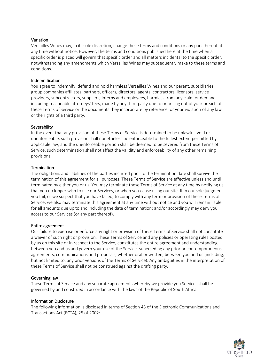## Variation

Versailles Wines may, in its sole discretion, change these terms and conditions or any part thereof at any time without notice. However, the terms and conditions published here at the time when a specific order is placed will govern that specific order and all matters incidental to the specific order, notwithstanding any amendments which Versailles Wines may subsequently make to these terms and conditions.

### Indemnification

You agree to indemnify, defend and hold harmless Versailles Wines and our parent, subsidiaries, group companies affiliates, partners, officers, directors, agents, contractors, licensors, service providers, subcontractors, suppliers, interns and employees, harmless from any claim or demand, including reasonable attorneys' fees, made by any third party due to or arising out of your breach of these Terms of Service or the documents they incorporate by reference, or your violation of any law or the rights of a third party.

### **Severability**

In the event that any provision of these Terms of Service is determined to be unlawful, void or unenforceable, such provision shall nonetheless be enforceable to the fullest extent permitted by applicable law, and the unenforceable portion shall be deemed to be severed from these Terms of Service, such determination shall not affect the validity and enforceability of any other remaining provisions.

## **Termination**

The obligations and liabilities of the parties incurred prior to the termination date shall survive the termination of this agreement for all purposes. These Terms of Service are effective unless and until terminated by either you or us. You may terminate these Terms of Service at any time by notifying us that you no longer wish to use our Services, or when you cease using our site. If in our sole judgment you fail, or we suspect that you have failed, to comply with any term or provision of these Terms of Service, we also may terminate this agreement at any time without notice and you will remain liable for all amounts due up to and including the date of termination; and/or accordingly may deny you access to our Services (or any part thereof).

### Entire agreement

Our failure to exercise or enforce any right or provision of these Terms of Service shall not constitute a waiver of such right or provision. These Terms of Service and any policies or operating rules posted by us on this site or in respect to the Service, constitutes the entire agreement and understanding between you and us and govern your use of the Service, superseding any prior or contemporaneous agreements, communications and proposals, whether oral or written, between you and us (including, but not limited to, any prior versions of the Terms of Service). Any ambiguities in the interpretation of these Terms of Service shall not be construed against the drafting party.

### Governing law

These Terms of Service and any separate agreements whereby we provide you Services shall be governed by and construed in accordance with the laws of the Republic of South Africa.

### Information Disclosure

The following information is disclosed in terms of Section 43 of the Electronic Communications and Transactions Act (ECTA), 25 of 2002: